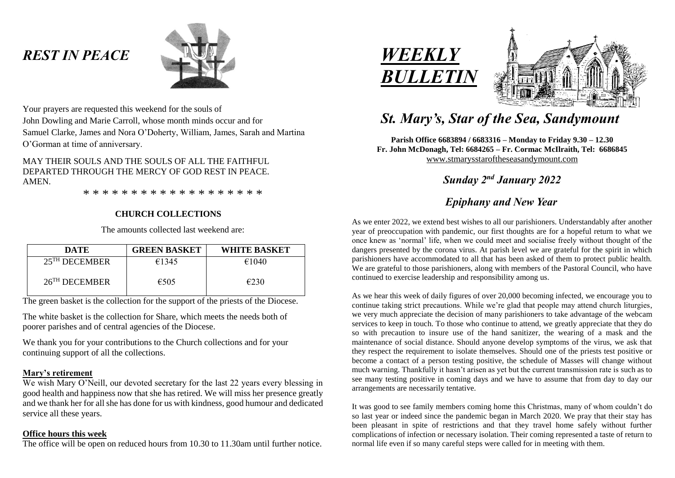# *REST IN PEACE*



Your prayers are requested this weekend for the souls of John Dowling and Marie Carroll, whose month minds occur and for Samuel Clarke, James and Nora O'Doherty, William, James, Sarah and Martina O'Gorman at time of anniversary.

MAY THEIR SOULS AND THE SOULS OF ALL THE FAITHFUL DEPARTED THROUGH THE MERCY OF GOD REST IN PEACE. AMEN.

\* \* \* \* \* \* \* \* \* \* \* \* \* \* \* \* \* \* \*

# **CHURCH COLLECTIONS**

The amounts collected last weekend are:

| <b>DATE</b>                 | <b>GREEN BASKET</b> | <b>WHITE BASKET</b> |
|-----------------------------|---------------------|---------------------|
| $25$ <sup>TH</sup> DECEMBER | €1345               | €1040               |
| $26$ <sup>TH</sup> DECEMBER | $\epsilon$ 505      | €230                |

The green basket is the collection for the support of the priests of the Diocese.

The white basket is the collection for Share, which meets the needs both of poorer parishes and of central agencies of the Diocese.

We thank you for your contributions to the Church collections and for your continuing support of all the collections.

## **Mary's retirement**

We wish Mary O'Neill, our devoted secretary for the last 22 years every blessing in good health and happiness now that she has retired. We will miss her presence greatly and we thank her for all she has done for us with kindness, good humour and dedicated service all these years.

#### **Office hours this week**

The office will be open on reduced hours from 10.30 to 11.30am until further notice.





# *St. Mary's, Star of the Sea, Sandymount*

**Parish Office 6683894 / 6683316 – Monday to Friday 9.30 – 12.30 Fr. John McDonagh, Tel: 6684265 – Fr. Cormac McIlraith, Tel: 6686845** [www.stmarysstaroftheseasandymount.com](http://www.stmarysstaroftheseasandymount.com/)

*Sunday 2 nd January 2022*

# *Epiphany and New Year*

As we enter 2022, we extend best wishes to all our parishioners. Understandably after another year of preoccupation with pandemic, our first thoughts are for a hopeful return to what we once knew as 'normal' life, when we could meet and socialise freely without thought of the dangers presented by the corona virus. At parish level we are grateful for the spirit in which parishioners have accommodated to all that has been asked of them to protect public health. We are grateful to those parishioners, along with members of the Pastoral Council, who have continued to exercise leadership and responsibility among us.

As we hear this week of daily figures of over 20,000 becoming infected, we encourage you to continue taking strict precautions. While we're glad that people may attend church liturgies, we very much appreciate the decision of many parishioners to take advantage of the webcam services to keep in touch. To those who continue to attend, we greatly appreciate that they do so with precaution to insure use of the hand sanitizer, the wearing of a mask and the maintenance of social distance. Should anyone develop symptoms of the virus, we ask that they respect the requirement to isolate themselves. Should one of the priests test positive or become a contact of a person testing positive, the schedule of Masses will change without much warning. Thankfully it hasn't arisen as yet but the current transmission rate is such as to see many testing positive in coming days and we have to assume that from day to day our arrangements are necessarily tentative.

It was good to see family members coming home this Christmas, many of whom couldn't do so last year or indeed since the pandemic began in March 2020. We pray that their stay has been pleasant in spite of restrictions and that they travel home safely without further complications of infection or necessary isolation. Their coming represented a taste of return to normal life even if so many careful steps were called for in meeting with them.